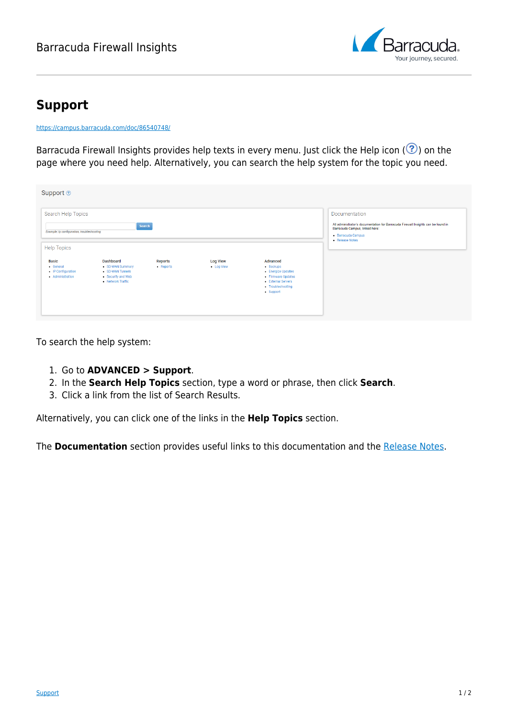## Barracuda Firewall Insights



## **Support**

<https://campus.barracuda.com/doc/86540748/>

Barracuda Firewall Insights provides help texts in every menu. Just click the Help icon ( $\circled{?}$ ) on the page where you need help. Alternatively, you can search the help system for the topic you need.

| Support <sup>®</sup>                                                       |                                                                                                     |                      |                               |                                                                                                                             |                                                                                                                                                              |
|----------------------------------------------------------------------------|-----------------------------------------------------------------------------------------------------|----------------------|-------------------------------|-----------------------------------------------------------------------------------------------------------------------------|--------------------------------------------------------------------------------------------------------------------------------------------------------------|
| Search Help Topics                                                         |                                                                                                     |                      |                               |                                                                                                                             | Documentation                                                                                                                                                |
| Search<br>Example: ip configuration, troubleshooting<br><b>Help Topics</b> |                                                                                                     |                      |                               |                                                                                                                             | All administrator's documentation for Barracuda Firewall Insights can be found in<br>Barracuda Campus, linked here:<br>· Barracuda Campus<br>• Release Notes |
| <b>Basic</b><br>• General<br>• IP Configuration<br>• Administration        | <b>Dashboard</b><br>· SD-WAN Summary<br>· SD-WAN Tunnels<br>• Security and Web<br>• Network Traffic | Reports<br>- Reports | <b>Log View</b><br>- Log View | Advanced<br>$-$ Backups<br>• Energize Updates<br>• Firmware Updates<br>- External Servers<br>• Troubleshooting<br>- Support |                                                                                                                                                              |

To search the help system:

- 1. Go to **ADVANCED > Support**.
- 2. In the **Search Help Topics** section, type a word or phrase, then click **Search**.
- 3. Click a link from the list of Search Results.

Alternatively, you can click one of the links in the **Help Topics** section.

The **Documentation** section provides useful links to this documentation and the [Release Notes](http://campus.barracuda.com/doc/86540822/).